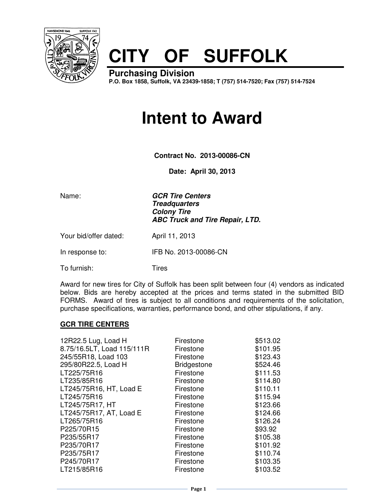

## **CITY OF SUFFOLK**

**Purchasing Division P.O. Box 1858, Suffolk, VA 23439-1858; T (757) 514-7520; Fax (757) 514-7524**

## **Intent to Award**

**Contract No. 2013-00086-CN** 

**Date: April 30, 2013**

Name: **GCR Tire Centers Treadquarters Colony Tire ABC Truck and Tire Repair, LTD.**

Your bid/offer dated: April 11, 2013

In response to: IFB No. 2013-00086-CN

To furnish: Tires

Award for new tires for City of Suffolk has been split between four (4) vendors as indicated below. Bids are hereby accepted at the prices and terms stated in the submitted BID FORMS. Award of tires is subject to all conditions and requirements of the solicitation, purchase specifications, warranties, performance bond, and other stipulations, if any.

## **GCR TIRE CENTERS**

| 12R22.5 Lug, Load H        | Firestone          | \$513.02 |
|----------------------------|--------------------|----------|
| 8.75/16.5LT, Load 115/111R | Firestone          | \$101.95 |
| 245/55R18, Load 103        | Firestone          | \$123.43 |
| 295/80R22.5, Load H        | <b>Bridgestone</b> | \$524.46 |
| LT225/75R16                | Firestone          | \$111.53 |
| LT235/85R16                | Firestone          | \$114.80 |
| LT245/75R16, HT, Load E    | Firestone          | \$110.11 |
| LT245/75R16                | Firestone          | \$115.94 |
| LT245/75R17, HT            | Firestone          | \$123.66 |
| LT245/75R17, AT, Load E    | Firestone          | \$124.66 |
| LT265/75R16                | Firestone          | \$126.24 |
| P225/70R15                 | Firestone          | \$93.92  |
| P235/55R17                 | Firestone          | \$105.38 |
| P235/70R17                 | Firestone          | \$101.92 |
| P235/75R17                 | Firestone          | \$110.74 |
| P245/70R17                 | Firestone          | \$103.35 |
| LT215/85R16                | Firestone          | \$103.52 |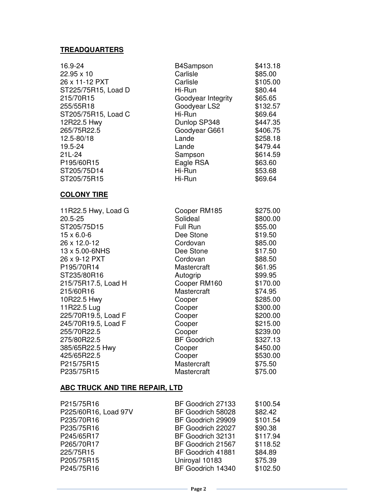## **TREADQUARTERS**

| 16.9-24                               | B4Sampson          | \$413.18 |  |
|---------------------------------------|--------------------|----------|--|
| 22.95 x 10                            | Carlisle           | \$85.00  |  |
| 26 x 11-12 PXT                        | Carlisle           | \$105.00 |  |
| ST225/75R15, Load D                   | Hi-Run             | \$80.44  |  |
| 215/70R15                             | Goodyear Integrity | \$65.65  |  |
| 255/55R18                             | Goodyear LS2       | \$132.57 |  |
| ST205/75R15, Load C                   | Hi-Run             | \$69.64  |  |
| 12R22.5 Hwy                           | Dunlop SP348       | \$447.35 |  |
| 265/75R22.5                           | Goodyear G661      | \$406.75 |  |
| 12.5-80/18                            | Lande              | \$258.18 |  |
| 19.5-24                               | Lande              | \$479.44 |  |
| 21L-24                                | Sampson            | \$614.59 |  |
| P195/60R15                            | Eagle RSA          | \$63.60  |  |
| ST205/75D14                           | Hi-Run             | \$53.68  |  |
| ST205/75R15                           | Hi-Run             | \$69.64  |  |
| <b>COLONY TIRE</b>                    |                    |          |  |
| 11R22.5 Hwy, Load G                   | Cooper RM185       | \$275.00 |  |
| 20.5-25                               | Solideal           | \$800.00 |  |
| ST205/75D15                           | Full Run           | \$55.00  |  |
| $15 \times 6.0 - 6$                   | Dee Stone          | \$19.50  |  |
| 26 x 12.0-12                          | Cordovan           | \$85.00  |  |
| 13 x 5.00-6NHS                        | Dee Stone          | \$17.50  |  |
| 26 x 9-12 PXT                         | Cordovan           | \$88.50  |  |
| P195/70R14                            | Mastercraft        | \$61.95  |  |
| ST235/80R16                           | Autogrip           | \$99.95  |  |
| 215/75R17.5, Load H                   | Cooper RM160       | \$170.00 |  |
| 215/60R16                             | Mastercraft        | \$74.95  |  |
| 10R22.5 Hwy                           | Cooper             | \$285.00 |  |
| 11R22.5 Lug                           | Cooper             | \$300.00 |  |
| 225/70R19.5, Load F                   | Cooper             | \$200.00 |  |
| 245/70R19.5, Load F                   | Cooper             | \$215.00 |  |
| 255/70R22.5                           | Cooper             | \$239.00 |  |
| 275/80R22.5                           | <b>BF</b> Goodrich | \$327.13 |  |
| 385/65R22.5 Hwy                       | Cooper             | \$450.00 |  |
| 425/65R22.5                           | Cooper             | \$530.00 |  |
| P215/75R15                            | Mastercraft        | \$75.50  |  |
| P235/75R15                            | Mastercraft        | \$75.00  |  |
| <b>ABC TRUCK AND TIRE REPAIR, LTD</b> |                    |          |  |

| P215/75R16           | BF Goodrich 27133 | \$100.54 |
|----------------------|-------------------|----------|
| P225/60R16, Load 97V | BF Goodrich 58028 | \$82.42  |
| P235/70R16           | BF Goodrich 29909 | \$101.54 |
| P235/75R16           | BF Goodrich 22027 | \$90.38  |
| P245/65R17           | BF Goodrich 32131 | \$117.94 |
| P265/70R17           | BF Goodrich 21567 | \$118.52 |
| 225/75R15            | BF Goodrich 41881 | \$84.89  |
| P205/75R15           | Uniroyal 10183    | \$75.39  |
| P245/75R16           | BF Goodrich 14340 | \$102.50 |
|                      |                   |          |